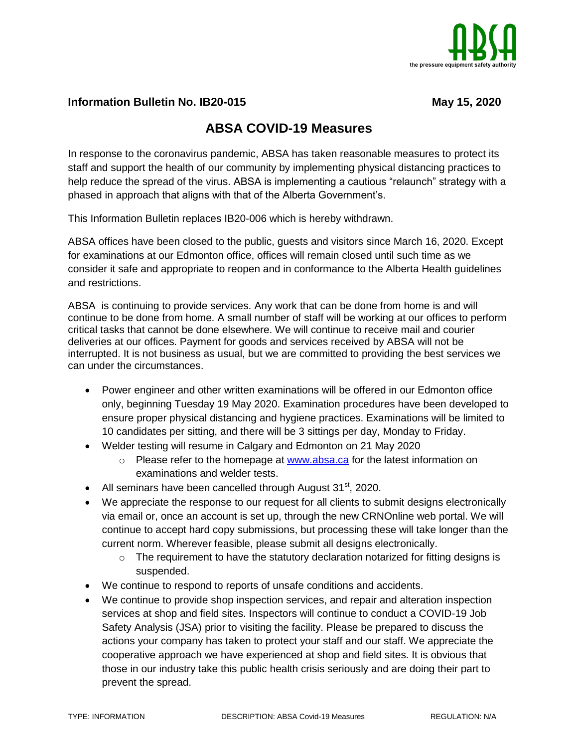

## **Information Bulletin No. IB20-015** May 15, 2020

## **ABSA COVID-19 Measures**

In response to the coronavirus pandemic, ABSA has taken reasonable measures to protect its staff and support the health of our community by implementing physical distancing practices to help reduce the spread of the virus. ABSA is implementing a cautious "relaunch" strategy with a phased in approach that aligns with that of the Alberta Government's.

This Information Bulletin replaces IB20-006 which is hereby withdrawn.

ABSA offices have been closed to the public, guests and visitors since March 16, 2020. Except for examinations at our Edmonton office, offices will remain closed until such time as we consider it safe and appropriate to reopen and in conformance to the Alberta Health guidelines and restrictions.

ABSA is continuing to provide services. Any work that can be done from home is and will continue to be done from home. A small number of staff will be working at our offices to perform critical tasks that cannot be done elsewhere. We will continue to receive mail and courier deliveries at our offices. Payment for goods and services received by ABSA will not be interrupted. It is not business as usual, but we are committed to providing the best services we can under the circumstances.

- Power engineer and other written examinations will be offered in our Edmonton office only, beginning Tuesday 19 May 2020. Examination procedures have been developed to ensure proper physical distancing and hygiene practices. Examinations will be limited to 10 candidates per sitting, and there will be 3 sittings per day, Monday to Friday.
- Welder testing will resume in Calgary and Edmonton on 21 May 2020
	- $\circ$  Please refer to the homepage at [www.absa.ca](http://www.absa.ca/) for the latest information on examinations and welder tests.
- All seminars have been cancelled through August  $31<sup>st</sup>$ , 2020.
- We appreciate the response to our request for all clients to submit designs electronically via email or, once an account is set up, through the new CRNOnline web portal. We will continue to accept hard copy submissions, but processing these will take longer than the current norm. Wherever feasible, please submit all designs electronically.
	- $\circ$  The requirement to have the statutory declaration notarized for fitting designs is suspended.
- We continue to respond to reports of unsafe conditions and accidents.
- We continue to provide shop inspection services, and repair and alteration inspection services at shop and field sites. Inspectors will continue to conduct a COVID-19 Job Safety Analysis (JSA) prior to visiting the facility. Please be prepared to discuss the actions your company has taken to protect your staff and our staff. We appreciate the cooperative approach we have experienced at shop and field sites. It is obvious that those in our industry take this public health crisis seriously and are doing their part to prevent the spread.